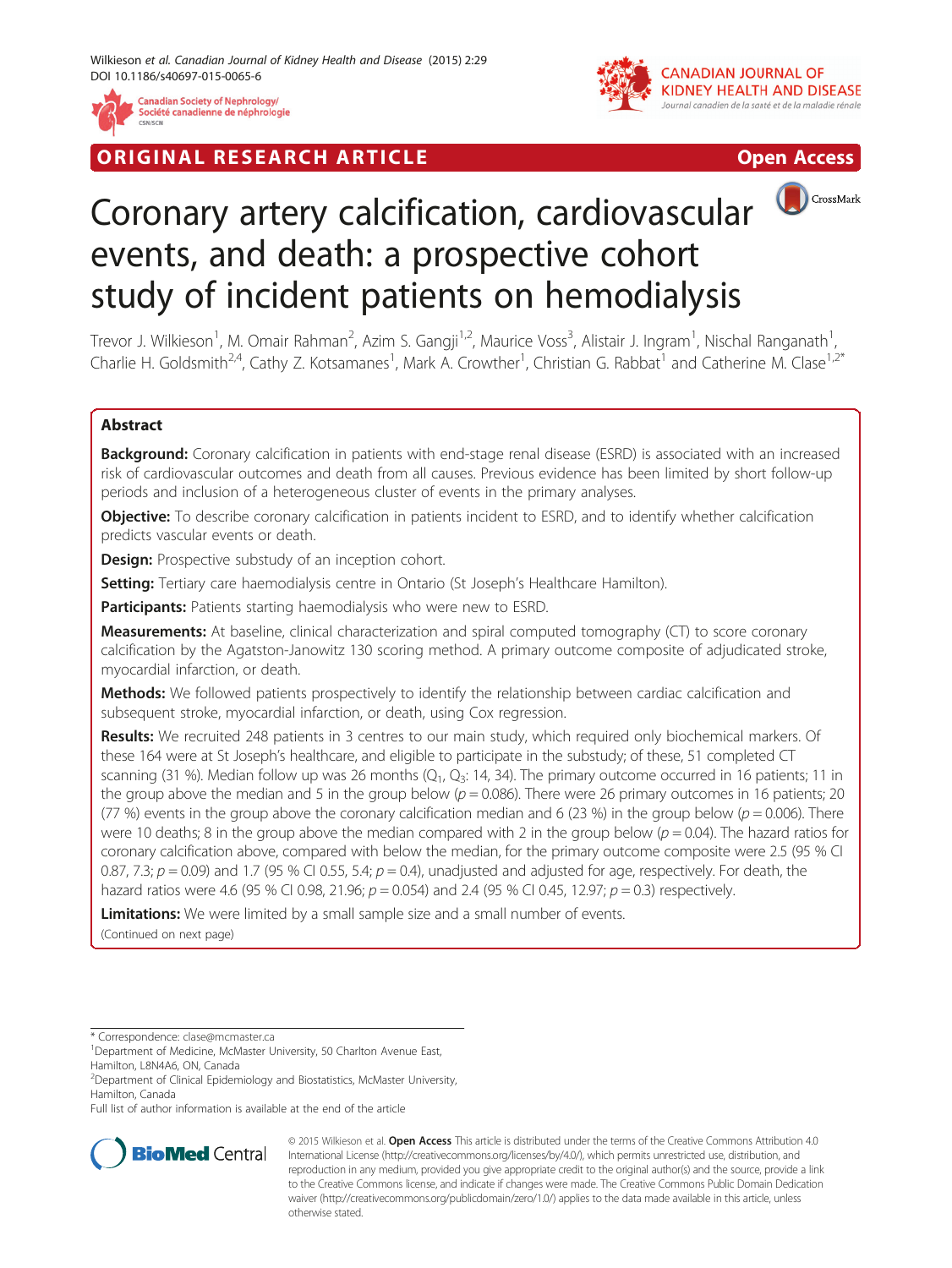

**RIGINAL RESEARCH ARTICLE CONSUMING ACCESS** 





# Coronary artery calcification, cardiovascular 4 events, and death: a prospective cohort study of incident patients on hemodialysis

Trevor J. Wilkieson<sup>1</sup>, M. Omair Rahman<sup>2</sup>, Azim S. Gangji<sup>1,2</sup>, Maurice Voss<sup>3</sup>, Alistair J. Ingram<sup>1</sup>, Nischal Ranganath<sup>1</sup> , Charlie H. Goldsmith<sup>2,4</sup>, Cathy Z. Kotsamanes<sup>1</sup>, Mark A. Crowther<sup>1</sup>, Christian G. Rabbat<sup>1</sup> and Catherine M. Clase<sup>1,2\*</sup>

# Abstract

Background: Coronary calcification in patients with end-stage renal disease (ESRD) is associated with an increased risk of cardiovascular outcomes and death from all causes. Previous evidence has been limited by short follow-up periods and inclusion of a heterogeneous cluster of events in the primary analyses.

Objective: To describe coronary calcification in patients incident to ESRD, and to identify whether calcification predicts vascular events or death.

**Design:** Prospective substudy of an inception cohort.

Setting: Tertiary care haemodialysis centre in Ontario (St Joseph's Healthcare Hamilton).

Participants: Patients starting haemodialysis who were new to ESRD.

**Measurements:** At baseline, clinical characterization and spiral computed tomography (CT) to score coronary calcification by the Agatston-Janowitz 130 scoring method. A primary outcome composite of adjudicated stroke, myocardial infarction, or death.

Methods: We followed patients prospectively to identify the relationship between cardiac calcification and subsequent stroke, myocardial infarction, or death, using Cox regression.

Results: We recruited 248 patients in 3 centres to our main study, which required only biochemical markers. Of these 164 were at St Joseph's healthcare, and eligible to participate in the substudy; of these, 51 completed CT scanning (31 %). Median follow up was 26 months  $(Q_1, Q_3; 14, 34)$ . The primary outcome occurred in 16 patients; 11 in the group above the median and 5 in the group below ( $p = 0.086$ ). There were 26 primary outcomes in 16 patients; 20 (77 %) events in the group above the coronary calcification median and 6 (23 %) in the group below ( $p = 0.006$ ). There were 10 deaths; 8 in the group above the median compared with 2 in the group below ( $p = 0.04$ ). The hazard ratios for coronary calcification above, compared with below the median, for the primary outcome composite were 2.5 (95 % CI 0.87, 7.3;  $p = 0.09$ ) and 1.7 (95 % CI 0.55, 5.4;  $p = 0.4$ ), unadjusted and adjusted for age, respectively. For death, the hazard ratios were 4.6 (95 % CI 0.98, 21.96;  $p = 0.054$ ) and 2.4 (95 % CI 0.45, 12.97;  $p = 0.3$ ) respectively.

Limitations: We were limited by a small sample size and a small number of events. (Continued on next page)

\* Correspondence: [clase@mcmaster.ca](mailto:clase@mcmaster.ca) <sup>1</sup>

Full list of author information is available at the end of the article



© 2015 Wilkieson et al. Open Access This article is distributed under the terms of the Creative Commons Attribution 4.0 International License ([http://creativecommons.org/licenses/by/4.0/\)](http://creativecommons.org/licenses/by/4.0/), which permits unrestricted use, distribution, and reproduction in any medium, provided you give appropriate credit to the original author(s) and the source, provide a link to the Creative Commons license, and indicate if changes were made. The Creative Commons Public Domain Dedication waiver [\(http://creativecommons.org/publicdomain/zero/1.0/](http://creativecommons.org/publicdomain/zero/1.0/)) applies to the data made available in this article, unless otherwise stated.

<sup>&</sup>lt;sup>1</sup>Department of Medicine, McMaster University, 50 Charlton Avenue East, Hamilton, L8N4A6, ON, Canada

<sup>&</sup>lt;sup>2</sup>Department of Clinical Epidemiology and Biostatistics, McMaster University, Hamilton, Canada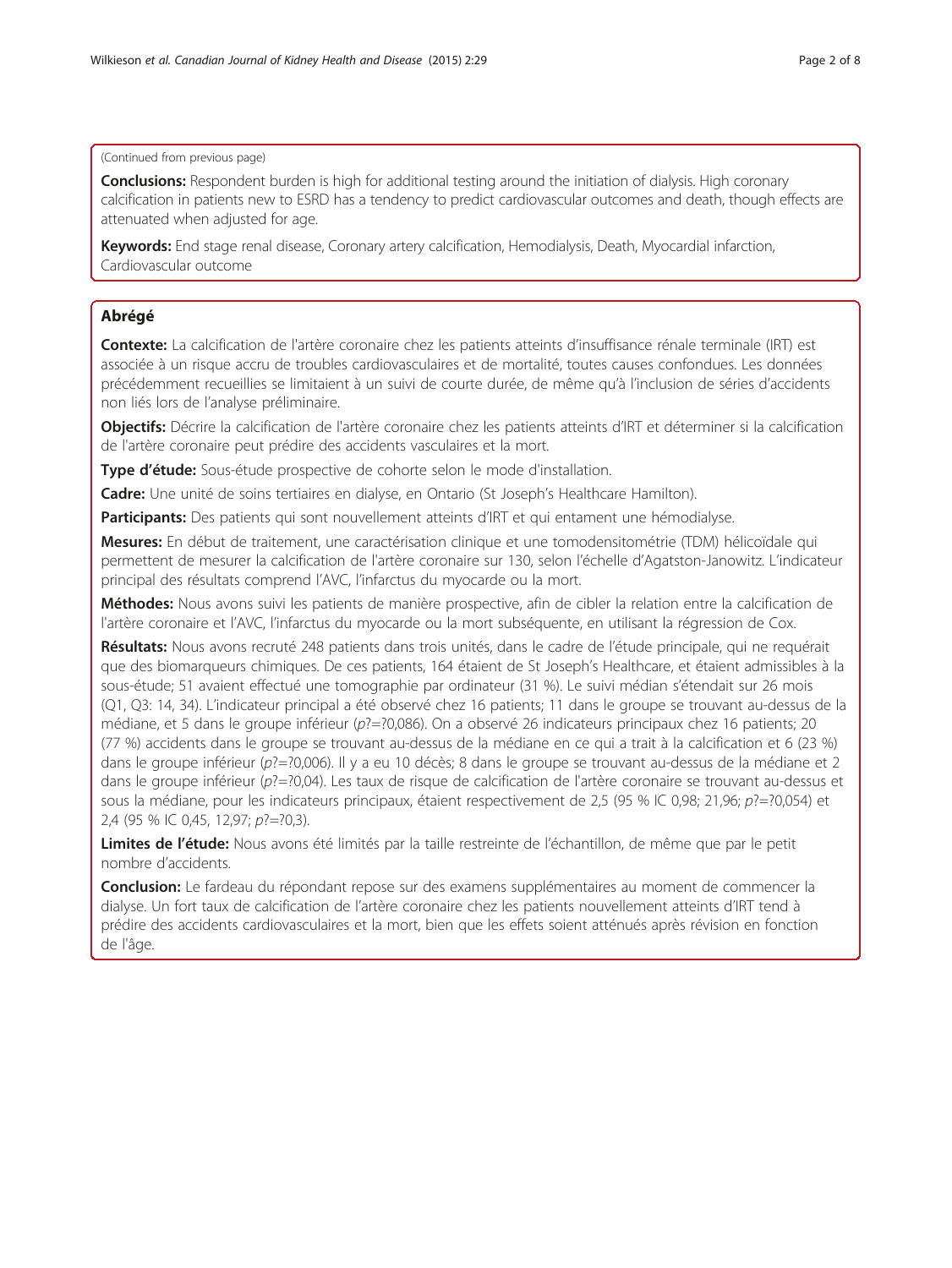## (Continued from previous page)

Conclusions: Respondent burden is high for additional testing around the initiation of dialysis. High coronary calcification in patients new to ESRD has a tendency to predict cardiovascular outcomes and death, though effects are attenuated when adjusted for age.

Keywords: End stage renal disease, Coronary artery calcification, Hemodialysis, Death, Myocardial infarction, Cardiovascular outcome

## Abrégé

Contexte: La calcification de l'artère coronaire chez les patients atteints d'insuffisance rénale terminale (IRT) est associée à un risque accru de troubles cardiovasculaires et de mortalité, toutes causes confondues. Les données précédemment recueillies se limitaient à un suivi de courte durée, de même qu'à l'inclusion de séries d'accidents non liés lors de l'analyse préliminaire.

Objectifs: Décrire la calcification de l'artère coronaire chez les patients atteints d'IRT et déterminer si la calcification de l'artère coronaire peut prédire des accidents vasculaires et la mort.

Type d'étude: Sous-étude prospective de cohorte selon le mode d'installation.

Cadre: Une unité de soins tertiaires en dialyse, en Ontario (St Joseph's Healthcare Hamilton).

Participants: Des patients qui sont nouvellement atteints d'IRT et qui entament une hémodialyse.

Mesures: En début de traitement, une caractérisation clinique et une tomodensitométrie (TDM) hélicoïdale qui permettent de mesurer la calcification de l'artère coronaire sur 130, selon l'échelle d'Agatston-Janowitz. L'indicateur principal des résultats comprend l'AVC, l'infarctus du myocarde ou la mort.

Méthodes: Nous avons suivi les patients de manière prospective, afin de cibler la relation entre la calcification de l'artère coronaire et l'AVC, l'infarctus du myocarde ou la mort subséquente, en utilisant la régression de Cox.

Résultats: Nous avons recruté 248 patients dans trois unités, dans le cadre de l'étude principale, qui ne requérait que des biomarqueurs chimiques. De ces patients, 164 étaient de St Joseph's Healthcare, et étaient admissibles à la sous-étude; 51 avaient effectué une tomographie par ordinateur (31 %). Le suivi médian s'étendait sur 26 mois (Q1, Q3: 14, 34). L'indicateur principal a été observé chez 16 patients; 11 dans le groupe se trouvant au-dessus de la médiane, et 5 dans le groupe inférieur (p?=?0,086). On a observé 26 indicateurs principaux chez 16 patients; 20 (77 %) accidents dans le groupe se trouvant au-dessus de la médiane en ce qui a trait à la calcification et 6 (23 %) dans le groupe inférieur (p?=?0,006). Il y a eu 10 décès; 8 dans le groupe se trouvant au-dessus de la médiane et 2 dans le groupe inférieur (p?=?0,04). Les taux de risque de calcification de l'artère coronaire se trouvant au-dessus et sous la médiane, pour les indicateurs principaux, étaient respectivement de 2,5 (95 % IC 0,98; 21,96; p?=?0,054) et 2,4 (95 % IC 0,45, 12,97; p?=?0,3).

Limites de l'étude: Nous avons été limités par la taille restreinte de l'échantillon, de même que par le petit nombre d'accidents.

Conclusion: Le fardeau du répondant repose sur des examens supplémentaires au moment de commencer la dialyse. Un fort taux de calcification de l'artère coronaire chez les patients nouvellement atteints d'IRT tend à prédire des accidents cardiovasculaires et la mort, bien que les effets soient atténués après révision en fonction de l'âge.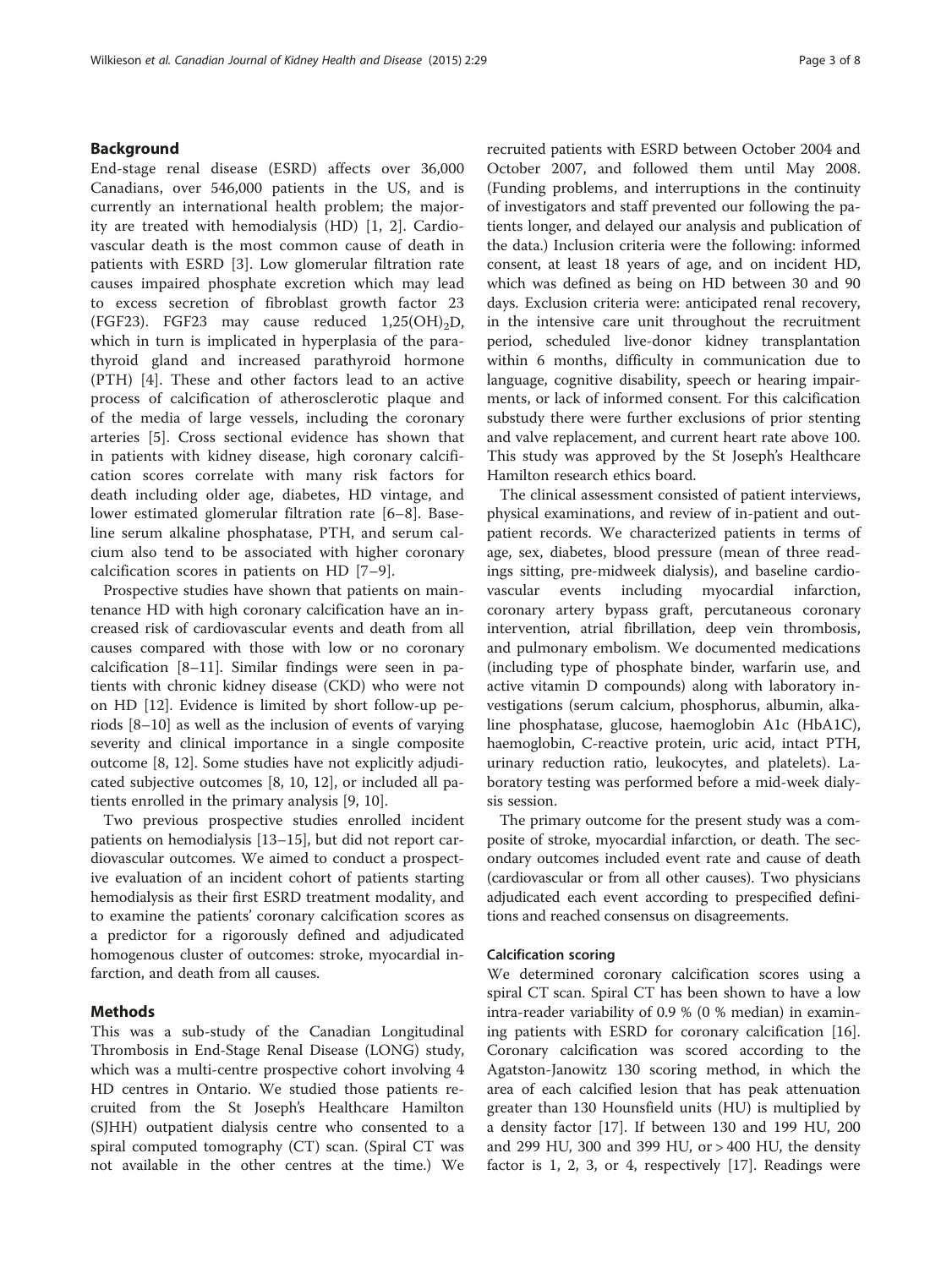#### Background

End-stage renal disease (ESRD) affects over 36,000 Canadians, over 546,000 patients in the US, and is currently an international health problem; the majority are treated with hemodialysis (HD) [\[1](#page-7-0), [2\]](#page-7-0). Cardiovascular death is the most common cause of death in patients with ESRD [[3\]](#page-7-0). Low glomerular filtration rate causes impaired phosphate excretion which may lead to excess secretion of fibroblast growth factor 23 (FGF23). FGF23 may cause reduced  $1,25(OH)<sub>2</sub>D$ , which in turn is implicated in hyperplasia of the parathyroid gland and increased parathyroid hormone (PTH) [\[4](#page-7-0)]. These and other factors lead to an active process of calcification of atherosclerotic plaque and of the media of large vessels, including the coronary arteries [[5\]](#page-7-0). Cross sectional evidence has shown that in patients with kidney disease, high coronary calcification scores correlate with many risk factors for death including older age, diabetes, HD vintage, and lower estimated glomerular filtration rate [\[6](#page-7-0)–[8](#page-7-0)]. Baseline serum alkaline phosphatase, PTH, and serum calcium also tend to be associated with higher coronary calcification scores in patients on HD [[7](#page-7-0)–[9\]](#page-7-0).

Prospective studies have shown that patients on maintenance HD with high coronary calcification have an increased risk of cardiovascular events and death from all causes compared with those with low or no coronary calcification [[8](#page-7-0)–[11](#page-7-0)]. Similar findings were seen in patients with chronic kidney disease (CKD) who were not on HD [\[12\]](#page-7-0). Evidence is limited by short follow-up periods [\[8](#page-7-0)–[10](#page-7-0)] as well as the inclusion of events of varying severity and clinical importance in a single composite outcome [[8, 12](#page-7-0)]. Some studies have not explicitly adjudicated subjective outcomes [[8, 10, 12\]](#page-7-0), or included all patients enrolled in the primary analysis [[9, 10](#page-7-0)].

Two previous prospective studies enrolled incident patients on hemodialysis [[13](#page-7-0)–[15](#page-7-0)], but did not report cardiovascular outcomes. We aimed to conduct a prospective evaluation of an incident cohort of patients starting hemodialysis as their first ESRD treatment modality, and to examine the patients' coronary calcification scores as a predictor for a rigorously defined and adjudicated homogenous cluster of outcomes: stroke, myocardial infarction, and death from all causes.

#### Methods

This was a sub-study of the Canadian Longitudinal Thrombosis in End-Stage Renal Disease (LONG) study, which was a multi-centre prospective cohort involving 4 HD centres in Ontario. We studied those patients recruited from the St Joseph's Healthcare Hamilton (SJHH) outpatient dialysis centre who consented to a spiral computed tomography (CT) scan. (Spiral CT was not available in the other centres at the time.) We

recruited patients with ESRD between October 2004 and October 2007, and followed them until May 2008. (Funding problems, and interruptions in the continuity of investigators and staff prevented our following the patients longer, and delayed our analysis and publication of the data.) Inclusion criteria were the following: informed consent, at least 18 years of age, and on incident HD, which was defined as being on HD between 30 and 90 days. Exclusion criteria were: anticipated renal recovery, in the intensive care unit throughout the recruitment period, scheduled live-donor kidney transplantation within 6 months, difficulty in communication due to language, cognitive disability, speech or hearing impairments, or lack of informed consent. For this calcification substudy there were further exclusions of prior stenting and valve replacement, and current heart rate above 100. This study was approved by the St Joseph's Healthcare Hamilton research ethics board.

The clinical assessment consisted of patient interviews, physical examinations, and review of in-patient and outpatient records. We characterized patients in terms of age, sex, diabetes, blood pressure (mean of three readings sitting, pre-midweek dialysis), and baseline cardiovascular events including myocardial infarction, coronary artery bypass graft, percutaneous coronary intervention, atrial fibrillation, deep vein thrombosis, and pulmonary embolism. We documented medications (including type of phosphate binder, warfarin use, and active vitamin D compounds) along with laboratory investigations (serum calcium, phosphorus, albumin, alkaline phosphatase, glucose, haemoglobin A1c (HbA1C), haemoglobin, C-reactive protein, uric acid, intact PTH, urinary reduction ratio, leukocytes, and platelets). Laboratory testing was performed before a mid-week dialysis session.

The primary outcome for the present study was a composite of stroke, myocardial infarction, or death. The secondary outcomes included event rate and cause of death (cardiovascular or from all other causes). Two physicians adjudicated each event according to prespecified definitions and reached consensus on disagreements.

## Calcification scoring

We determined coronary calcification scores using a spiral CT scan. Spiral CT has been shown to have a low intra-reader variability of 0.9 % (0 % median) in examining patients with ESRD for coronary calcification [\[16](#page-7-0)]. Coronary calcification was scored according to the Agatston-Janowitz 130 scoring method, in which the area of each calcified lesion that has peak attenuation greater than 130 Hounsfield units (HU) is multiplied by a density factor [[17](#page-7-0)]. If between 130 and 199 HU, 200 and 299 HU, 300 and 399 HU, or > 400 HU, the density factor is 1, 2, 3, or 4, respectively [[17](#page-7-0)]. Readings were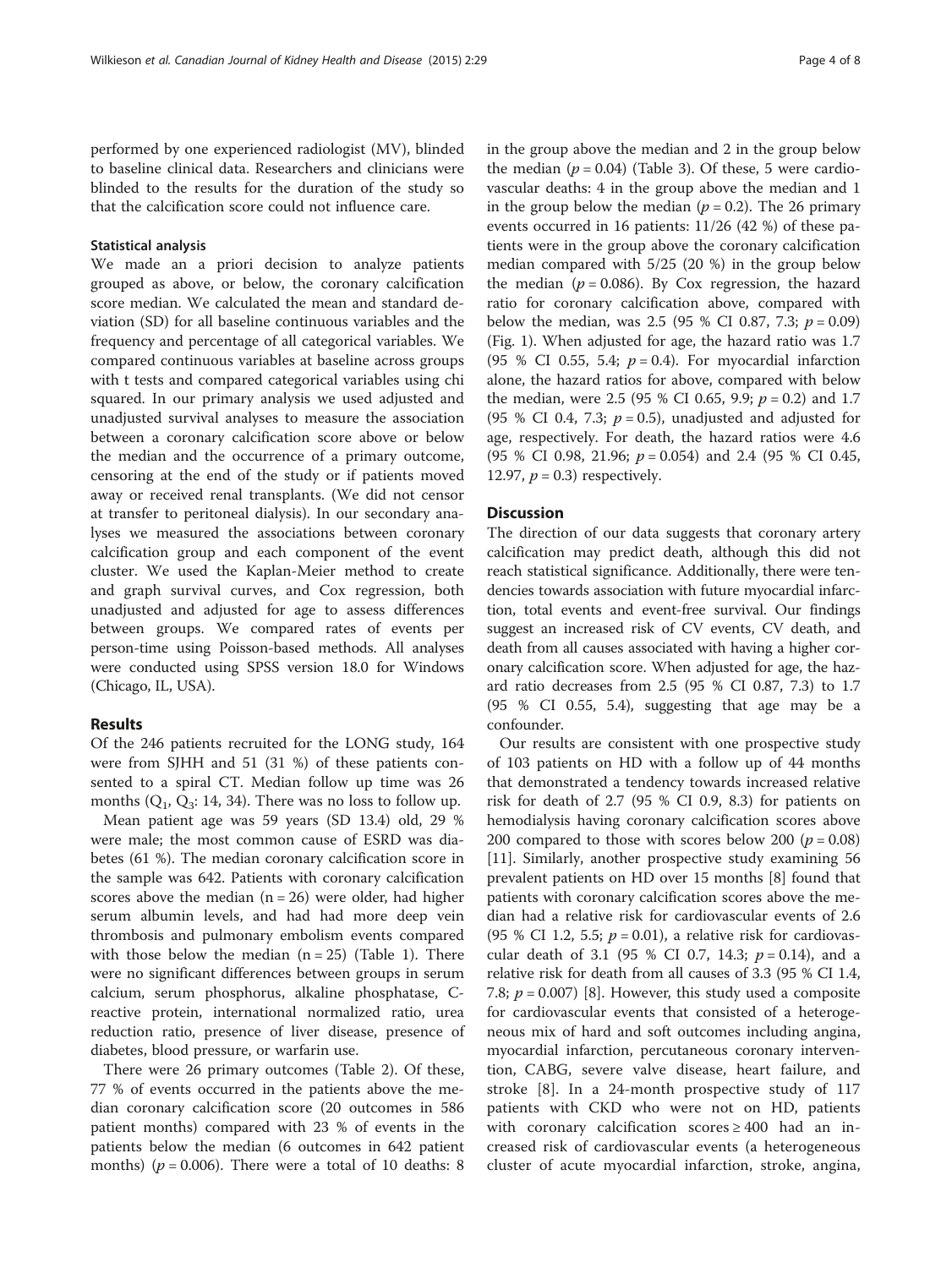performed by one experienced radiologist (MV), blinded to baseline clinical data. Researchers and clinicians were blinded to the results for the duration of the study so that the calcification score could not influence care.

#### Statistical analysis

We made an a priori decision to analyze patients grouped as above, or below, the coronary calcification score median. We calculated the mean and standard deviation (SD) for all baseline continuous variables and the frequency and percentage of all categorical variables. We compared continuous variables at baseline across groups with t tests and compared categorical variables using chi squared. In our primary analysis we used adjusted and unadjusted survival analyses to measure the association between a coronary calcification score above or below the median and the occurrence of a primary outcome, censoring at the end of the study or if patients moved away or received renal transplants. (We did not censor at transfer to peritoneal dialysis). In our secondary analyses we measured the associations between coronary calcification group and each component of the event cluster. We used the Kaplan-Meier method to create and graph survival curves, and Cox regression, both unadjusted and adjusted for age to assess differences between groups. We compared rates of events per person-time using Poisson-based methods. All analyses were conducted using SPSS version 18.0 for Windows (Chicago, IL, USA).

#### Results

Of the 246 patients recruited for the LONG study, 164 were from SJHH and 51 (31 %) of these patients consented to a spiral CT. Median follow up time was 26 months  $(Q_1, Q_3; 14, 34)$ . There was no loss to follow up.

Mean patient age was 59 years (SD 13.4) old, 29 % were male; the most common cause of ESRD was diabetes (61 %). The median coronary calcification score in the sample was 642. Patients with coronary calcification scores above the median  $(n = 26)$  were older, had higher serum albumin levels, and had had more deep vein thrombosis and pulmonary embolism events compared with those below the median  $(n = 25)$  (Table [1](#page-4-0)). There were no significant differences between groups in serum calcium, serum phosphorus, alkaline phosphatase, Creactive protein, international normalized ratio, urea reduction ratio, presence of liver disease, presence of diabetes, blood pressure, or warfarin use.

There were 26 primary outcomes (Table [2\)](#page-5-0). Of these, 77 % of events occurred in the patients above the median coronary calcification score (20 outcomes in 586 patient months) compared with 23 % of events in the patients below the median (6 outcomes in 642 patient months) ( $p = 0.006$ ). There were a total of 10 deaths: 8 in the group above the median and 2 in the group below the median  $(p = 0.04)$  (Table [3](#page-5-0)). Of these, 5 were cardiovascular deaths: 4 in the group above the median and 1 in the group below the median ( $p = 0.2$ ). The 26 primary events occurred in 16 patients: 11/26 (42 %) of these patients were in the group above the coronary calcification median compared with 5/25 (20 %) in the group below the median ( $p = 0.086$ ). By Cox regression, the hazard ratio for coronary calcification above, compared with below the median, was 2.5 (95 % CI 0.87, 7.3;  $p = 0.09$ ) (Fig. [1\)](#page-6-0). When adjusted for age, the hazard ratio was 1.7 (95 % CI 0.55, 5.4;  $p = 0.4$ ). For myocardial infarction alone, the hazard ratios for above, compared with below the median, were 2.5 (95 % CI 0.65, 9.9;  $p = 0.2$ ) and 1.7 (95 % CI 0.4, 7.3;  $p = 0.5$ ), unadjusted and adjusted for age, respectively. For death, the hazard ratios were 4.6 (95 % CI 0.98, 21.96;  $p = 0.054$ ) and 2.4 (95 % CI 0.45, 12.97,  $p = 0.3$ ) respectively.

#### **Discussion**

The direction of our data suggests that coronary artery calcification may predict death, although this did not reach statistical significance. Additionally, there were tendencies towards association with future myocardial infarction, total events and event-free survival. Our findings suggest an increased risk of CV events, CV death, and death from all causes associated with having a higher coronary calcification score. When adjusted for age, the hazard ratio decreases from 2.5 (95 % CI 0.87, 7.3) to 1.7 (95 % CI 0.55, 5.4), suggesting that age may be a confounder.

Our results are consistent with one prospective study of 103 patients on HD with a follow up of 44 months that demonstrated a tendency towards increased relative risk for death of 2.7 (95 % CI 0.9, 8.3) for patients on hemodialysis having coronary calcification scores above 200 compared to those with scores below 200 ( $p = 0.08$ ) [[11\]](#page-7-0). Similarly, another prospective study examining 56 prevalent patients on HD over 15 months [\[8](#page-7-0)] found that patients with coronary calcification scores above the median had a relative risk for cardiovascular events of 2.6 (95 % CI 1.2, 5.5;  $p = 0.01$ ), a relative risk for cardiovascular death of 3.1 (95 % CI 0.7, 14.3;  $p = 0.14$ ), and a relative risk for death from all causes of 3.3 (95 % CI 1.4, 7.8;  $p = 0.007$  [\[8](#page-7-0)]. However, this study used a composite for cardiovascular events that consisted of a heterogeneous mix of hard and soft outcomes including angina, myocardial infarction, percutaneous coronary intervention, CABG, severe valve disease, heart failure, and stroke [\[8](#page-7-0)]. In a 24-month prospective study of 117 patients with CKD who were not on HD, patients with coronary calcification scores  $\geq 400$  had an increased risk of cardiovascular events (a heterogeneous cluster of acute myocardial infarction, stroke, angina,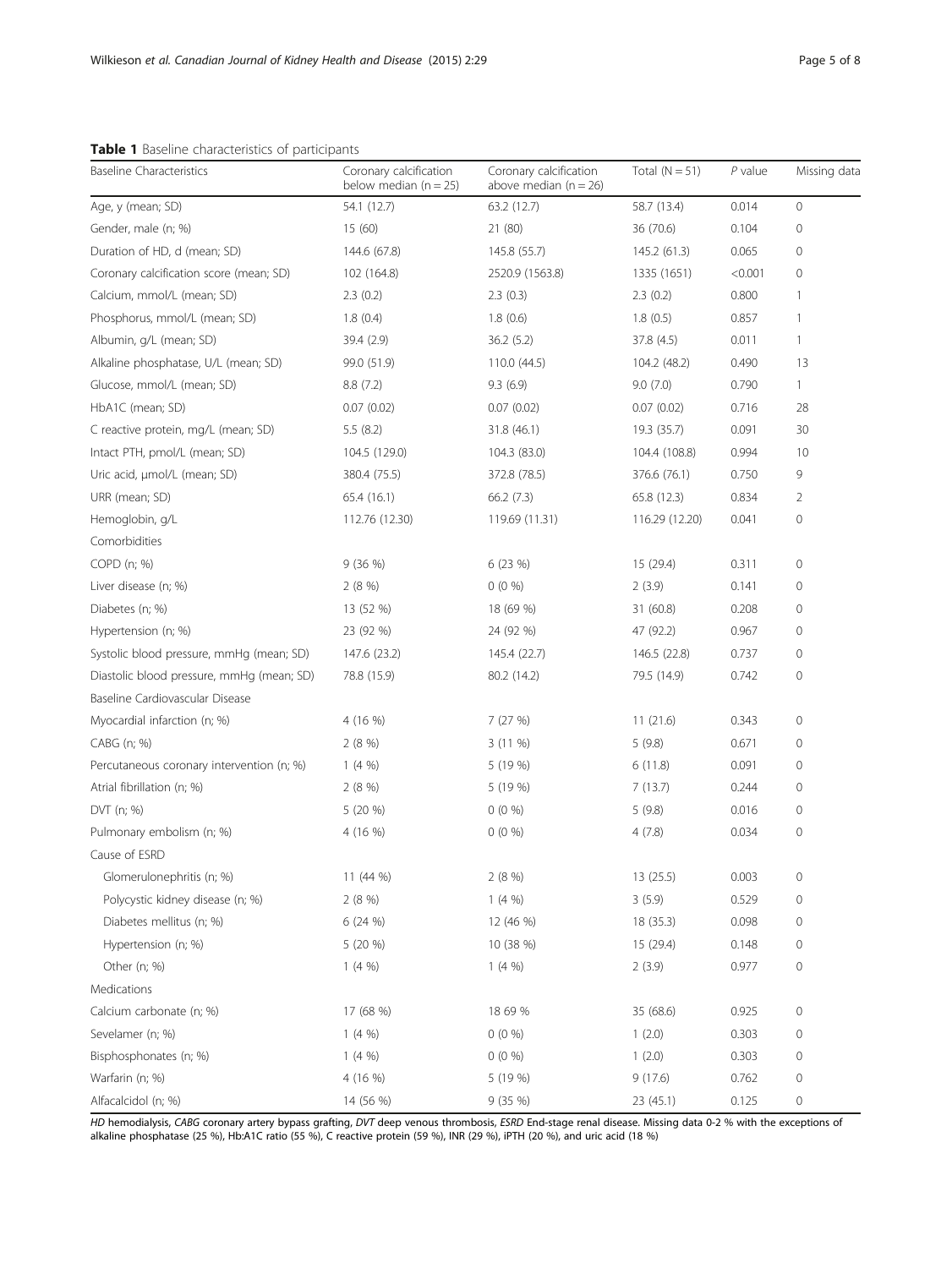<span id="page-4-0"></span>

| <b>Baseline Characteristics</b>           | Coronary calcification<br>below median ( $n = 25$ ) | Coronary calcification<br>above median ( $n = 26$ ) | Total $(N = 51)$ | $P$ value | Missing data |
|-------------------------------------------|-----------------------------------------------------|-----------------------------------------------------|------------------|-----------|--------------|
| Age, y (mean; SD)                         | 54.1 (12.7)                                         | 63.2 (12.7)                                         | 58.7 (13.4)      | 0.014     | $\mathbf 0$  |
| Gender, male (n; %)                       | 15 (60)                                             | 21 (80)                                             | 36 (70.6)        | 0.104     | $\mathbf{0}$ |
| Duration of HD, d (mean; SD)              | 144.6 (67.8)                                        | 145.8 (55.7)                                        | 145.2 (61.3)     | 0.065     | 0            |
| Coronary calcification score (mean; SD)   | 102 (164.8)                                         | 2520.9 (1563.8)                                     | 1335 (1651)      | < 0.001   | 0            |
| Calcium, mmol/L (mean; SD)                | 2.3(0.2)                                            | 2.3(0.3)                                            | 2.3(0.2)         | 0.800     | $\mathbf{1}$ |
| Phosphorus, mmol/L (mean; SD)             | 1.8(0.4)                                            | 1.8(0.6)                                            | 1.8(0.5)         | 0.857     | $\mathbf{1}$ |
| Albumin, g/L (mean; SD)                   | 39.4 (2.9)                                          | 36.2(5.2)                                           | 37.8 (4.5)       | 0.011     | $\mathbf{1}$ |
| Alkaline phosphatase, U/L (mean; SD)      | 99.0 (51.9)                                         | 110.0 (44.5)                                        | 104.2 (48.2)     | 0.490     | 13           |
| Glucose, mmol/L (mean; SD)                | 8.8(7.2)                                            | 9.3(6.9)                                            | 9.0(7.0)         | 0.790     | 1            |
| HbA1C (mean; SD)                          | 0.07(0.02)                                          | 0.07(0.02)                                          | 0.07(0.02)       | 0.716     | 28           |
| C reactive protein, mg/L (mean; SD)       | 5.5(8.2)                                            | 31.8 (46.1)                                         | 19.3(35.7)       | 0.091     | 30           |
| Intact PTH, pmol/L (mean; SD)             | 104.5 (129.0)                                       | 104.3 (83.0)                                        | 104.4 (108.8)    | 0.994     | 10           |
| Uric acid, µmol/L (mean; SD)              | 380.4 (75.5)                                        | 372.8 (78.5)                                        | 376.6 (76.1)     | 0.750     | 9            |
| URR (mean; SD)                            | 65.4 (16.1)                                         | 66.2(7.3)                                           | 65.8 (12.3)      | 0.834     | 2            |
| Hemoglobin, g/L                           | 112.76 (12.30)                                      | 119.69 (11.31)                                      | 116.29 (12.20)   | 0.041     | 0            |
| Comorbidities                             |                                                     |                                                     |                  |           |              |
| COPD (n; %)                               | 9(36%)                                              | 6(23%)                                              | 15 (29.4)        | 0.311     | $\mathbf 0$  |
| Liver disease (n; %)                      | 2(8%)                                               | $0(0\%)$                                            | 2(3.9)           | 0.141     | 0            |
| Diabetes (n; %)                           | 13 (52 %)                                           | 18 (69 %)                                           | 31 (60.8)        | 0.208     | 0            |
| Hypertension (n; %)                       | 23 (92 %)                                           | 24 (92 %)                                           | 47 (92.2)        | 0.967     | $\mathbf 0$  |
| Systolic blood pressure, mmHg (mean; SD)  | 147.6 (23.2)                                        | 145.4 (22.7)                                        | 146.5 (22.8)     | 0.737     | 0            |
| Diastolic blood pressure, mmHg (mean; SD) | 78.8 (15.9)                                         | 80.2 (14.2)                                         | 79.5 (14.9)      | 0.742     | 0            |
| Baseline Cardiovascular Disease           |                                                     |                                                     |                  |           |              |
| Myocardial infarction (n; %)              | 4 (16 %)                                            | 7(27%)                                              | 11(21.6)         | 0.343     | $\mathbf 0$  |
| CABG (n; %)                               | 2(8%)                                               | 3(11%)                                              | 5(9.8)           | 0.671     | 0            |
| Percutaneous coronary intervention (n; %) | 1(4%                                                | 5 (19 %)                                            | 6(11.8)          | 0.091     | 0            |
| Atrial fibrillation (n; %)                | 2(8%)                                               | 5 (19 %)                                            | 7(13.7)          | 0.244     | 0            |
| DVT (n; %)                                | 5 (20 %)                                            | $0(0\%)$                                            | 5(9.8)           | 0.016     | 0            |
| Pulmonary embolism (n; %)                 | 4 (16 %)                                            | $0(0\%)$                                            | 4(7.8)           | 0.034     | $\mathbf 0$  |
| Cause of ESRD                             |                                                     |                                                     |                  |           |              |
| Glomerulonephritis (n; %)                 | 11 (44 %)                                           | 2(8%)                                               | 13 (25.5)        | 0.003     | 0            |
| Polycystic kidney disease (n; %)          | 2(8%)                                               | 1(4%)                                               | 3(5.9)           | 0.529     | 0            |
| Diabetes mellitus (n; %)                  | 6 (24 %)                                            | 12 (46 %)                                           | 18 (35.3)        | 0.098     | 0            |
| Hypertension (n; %)                       | 5 (20 %)                                            | 10 (38 %)                                           | 15 (29.4)        | 0.148     | 0            |
| Other (n; %)                              | 1(4%                                                | 1(4%)                                               | 2(3.9)           | 0.977     | 0            |
| Medications                               |                                                     |                                                     |                  |           |              |
| Calcium carbonate (n; %)                  | 17 (68 %)                                           | 18 69 %                                             | 35 (68.6)        | 0.925     | 0            |
| Sevelamer (n; %)                          | 1(4%                                                | $0(0\%)$                                            | 1(2.0)           | 0.303     | 0            |
| Bisphosphonates (n; %)                    | 1(4%                                                | $0(0\%)$                                            | 1(2.0)           | 0.303     | 0            |
| Warfarin (n; %)                           | 4 (16 %)                                            | 5 (19 %)                                            | 9(17.6)          | 0.762     | 0            |
| Alfacalcidol (n; %)                       | 14 (56 %)                                           | 9(35%)                                              | 23 (45.1)        | 0.125     | 0            |

HD hemodialysis, CABG coronary artery bypass grafting, DVT deep venous thrombosis, ESRD End-stage renal disease. Missing data 0-2 % with the exceptions of alkaline phosphatase (25 %), Hb:A1C ratio (55 %), C reactive protein (59 %), INR (29 %), iPTH (20 %), and uric acid (18 %)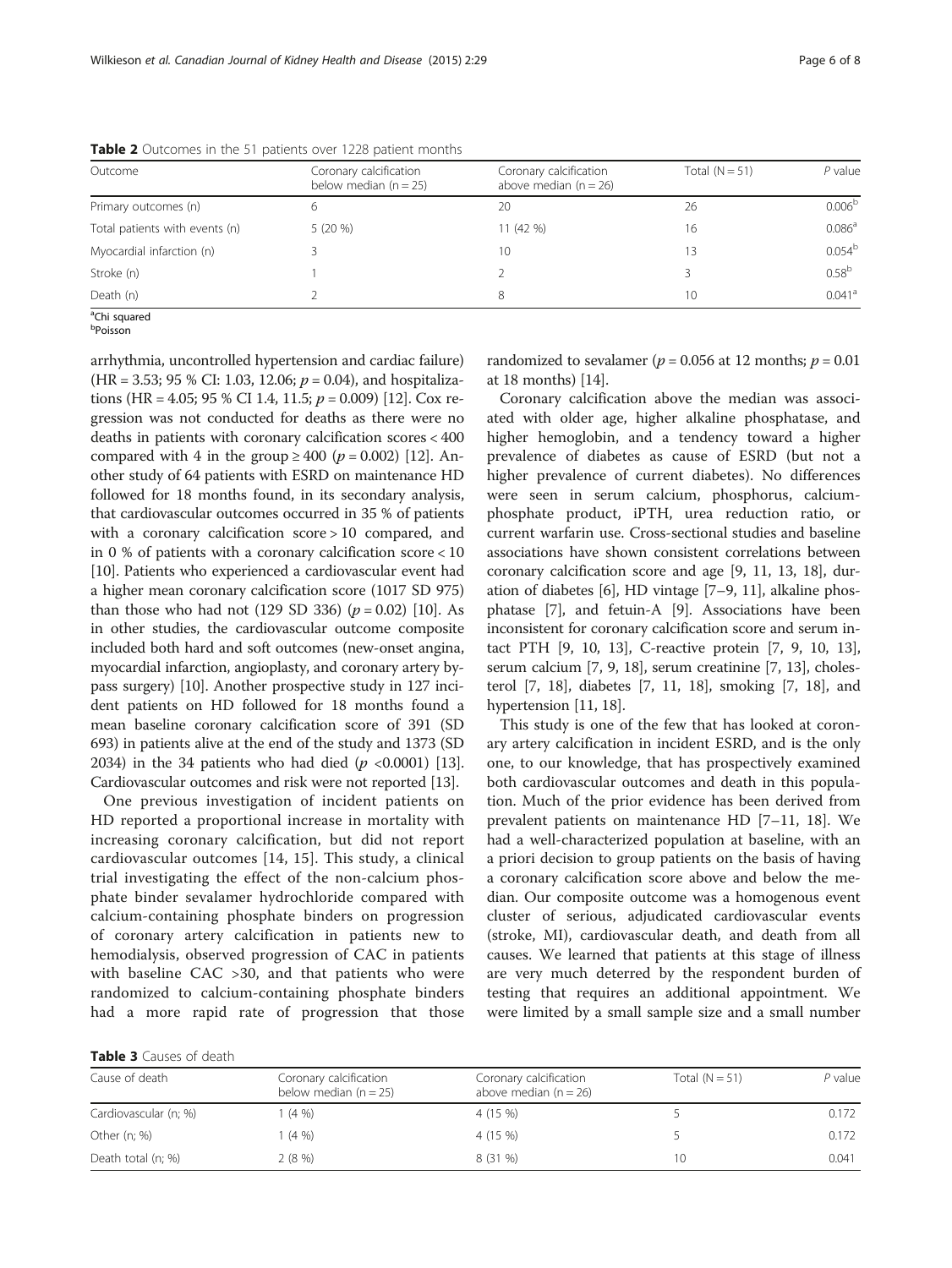| Outcome                                   | Coronary calcification<br>below median $(n = 25)$ | Coronary calcification<br>above median $(n = 26)$ | Total $(N = 51)$ | $P$ value            |
|-------------------------------------------|---------------------------------------------------|---------------------------------------------------|------------------|----------------------|
| Primary outcomes (n)                      |                                                   | 20                                                | 26               | 0.006 <sup>b</sup>   |
| Total patients with events (n)            | $5(20\%)$                                         | 11 (42 %)                                         | 16               | $0.086^{\text{a}}$   |
| Myocardial infarction (n)                 |                                                   | 10                                                | 13               | 0.054 <sup>b</sup>   |
| Stroke (n)                                |                                                   |                                                   | ર                | 0.58 <sup>b</sup>    |
| Death (n)                                 |                                                   | 8                                                 | 10               | $0.041$ <sup>a</sup> |
| $\sim$ $\sim$ $\sim$ $\sim$ $\sim$ $\sim$ |                                                   |                                                   |                  |                      |

<span id="page-5-0"></span>Table 2 Outcomes in the 51 patients over 1228 patient months

<sup>a</sup>Chi squared <sup>b</sup>Poisson

arrhythmia, uncontrolled hypertension and cardiac failure)  $(HR = 3.53; 95 % CI: 1.03, 12.06; p = 0.04)$ , and hospitalizations (HR = 4.05; 95 % CI 1.4, 11.5;  $p = 0.009$ ) [[12](#page-7-0)]. Cox regression was not conducted for deaths as there were no deaths in patients with coronary calcification scores < 400 compared with 4 in the group  $\geq 400$  ( $p = 0.002$ ) [\[12](#page-7-0)]. Another study of 64 patients with ESRD on maintenance HD followed for 18 months found, in its secondary analysis, that cardiovascular outcomes occurred in 35 % of patients with a coronary calcification score > 10 compared, and in 0 % of patients with a coronary calcification score < 10 [[10](#page-7-0)]. Patients who experienced a cardiovascular event had a higher mean coronary calcification score (1017 SD 975) than those who had not (129 SD 336)  $(p = 0.02)$  [\[10\]](#page-7-0). As in other studies, the cardiovascular outcome composite included both hard and soft outcomes (new-onset angina, myocardial infarction, angioplasty, and coronary artery bypass surgery) [[10](#page-7-0)]. Another prospective study in 127 incident patients on HD followed for 18 months found a mean baseline coronary calcification score of 391 (SD 693) in patients alive at the end of the study and 1373 (SD 2034) in the 34 patients who had died  $(p \text{ <0.0001})$  [[13](#page-7-0)]. Cardiovascular outcomes and risk were not reported [\[13](#page-7-0)].

One previous investigation of incident patients on HD reported a proportional increase in mortality with increasing coronary calcification, but did not report cardiovascular outcomes [[14, 15\]](#page-7-0). This study, a clinical trial investigating the effect of the non-calcium phosphate binder sevalamer hydrochloride compared with calcium-containing phosphate binders on progression of coronary artery calcification in patients new to hemodialysis, observed progression of CAC in patients with baseline CAC > 30, and that patients who were randomized to calcium-containing phosphate binders had a more rapid rate of progression that those randomized to sevalamer ( $p = 0.056$  at 12 months;  $p = 0.01$ at 18 months) [\[14\]](#page-7-0).

Coronary calcification above the median was associated with older age, higher alkaline phosphatase, and higher hemoglobin, and a tendency toward a higher prevalence of diabetes as cause of ESRD (but not a higher prevalence of current diabetes). No differences were seen in serum calcium, phosphorus, calciumphosphate product, iPTH, urea reduction ratio, or current warfarin use. Cross-sectional studies and baseline associations have shown consistent correlations between coronary calcification score and age [\[9, 11, 13](#page-7-0), [18](#page-7-0)], duration of diabetes [[6](#page-7-0)], HD vintage [[7](#page-7-0)–[9](#page-7-0), [11\]](#page-7-0), alkaline phosphatase [\[7\]](#page-7-0), and fetuin-A [\[9](#page-7-0)]. Associations have been inconsistent for coronary calcification score and serum intact PTH [\[9, 10, 13](#page-7-0)], C-reactive protein [\[7](#page-7-0), [9](#page-7-0), [10, 13](#page-7-0)], serum calcium [\[7](#page-7-0), [9](#page-7-0), [18\]](#page-7-0), serum creatinine [[7, 13\]](#page-7-0), cholesterol [\[7, 18](#page-7-0)], diabetes [[7](#page-7-0), [11, 18\]](#page-7-0), smoking [\[7](#page-7-0), [18\]](#page-7-0), and hypertension [\[11, 18](#page-7-0)].

This study is one of the few that has looked at coronary artery calcification in incident ESRD, and is the only one, to our knowledge, that has prospectively examined both cardiovascular outcomes and death in this population. Much of the prior evidence has been derived from prevalent patients on maintenance HD [\[7](#page-7-0)–[11](#page-7-0), [18\]](#page-7-0). We had a well-characterized population at baseline, with an a priori decision to group patients on the basis of having a coronary calcification score above and below the median. Our composite outcome was a homogenous event cluster of serious, adjudicated cardiovascular events (stroke, MI), cardiovascular death, and death from all causes. We learned that patients at this stage of illness are very much deterred by the respondent burden of testing that requires an additional appointment. We were limited by a small sample size and a small number

| <b>Table 3</b> Causes of death |  |  |  |
|--------------------------------|--|--|--|
|--------------------------------|--|--|--|

| Cause of death        | Coronary calcification<br>below median $(n = 25)$ | Coronary calcification<br>above median $(n = 26)$ | Total $(N = 51)$ | $P$ value |
|-----------------------|---------------------------------------------------|---------------------------------------------------|------------------|-----------|
| Cardiovascular (n; %) | $(4 \frac{9}{6})$                                 | 4 (15 %)                                          |                  | 0.172     |
| Other (n; %)          | $(4 \frac{9}{6})$                                 | 4 (15 %)                                          |                  | 0.172     |
| Death total (n; %)    | 2 (8 %)                                           | 8 (31 %)                                          | 10               | 0.041     |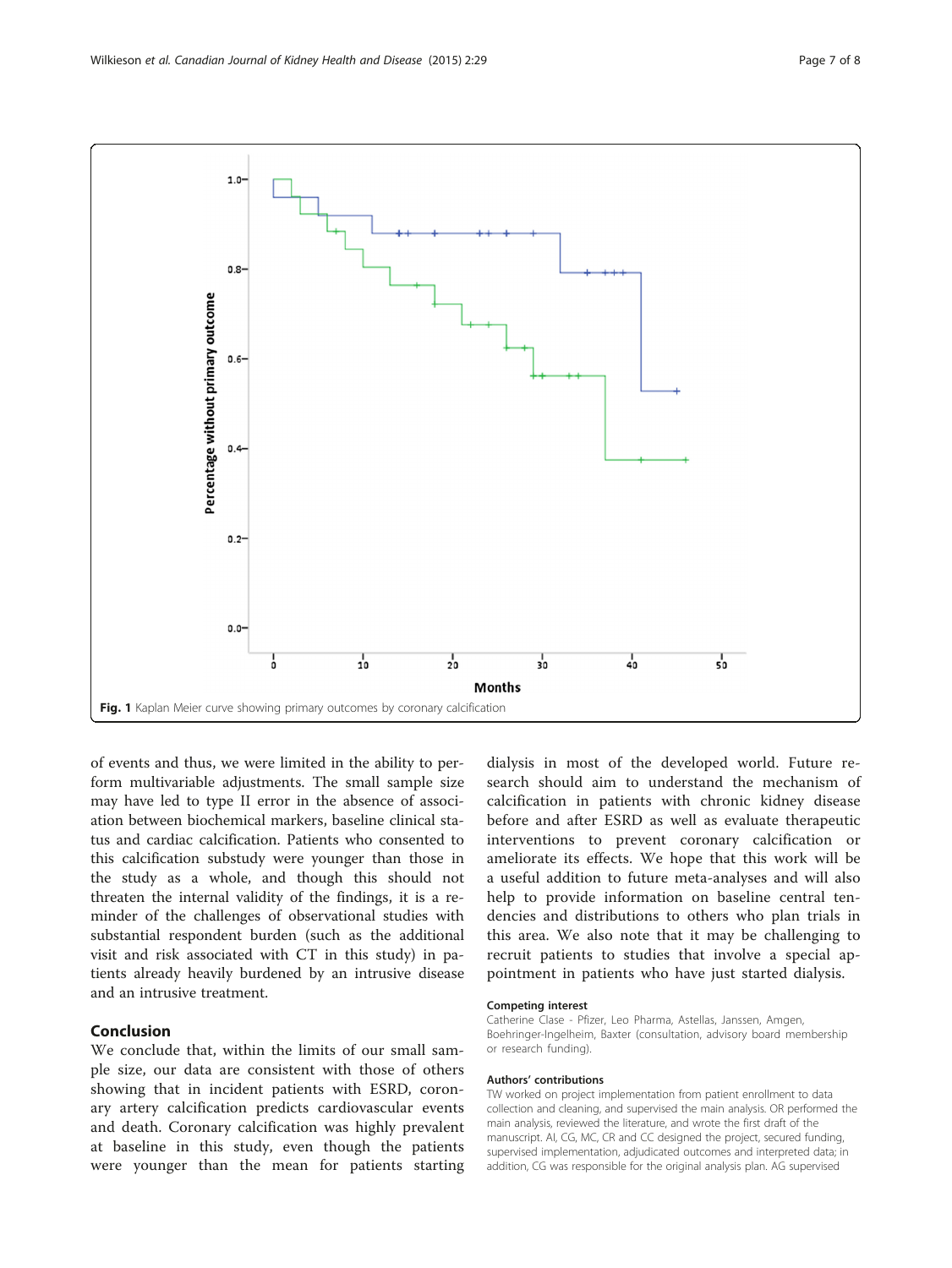<span id="page-6-0"></span>

of events and thus, we were limited in the ability to perform multivariable adjustments. The small sample size may have led to type II error in the absence of association between biochemical markers, baseline clinical status and cardiac calcification. Patients who consented to this calcification substudy were younger than those in the study as a whole, and though this should not threaten the internal validity of the findings, it is a reminder of the challenges of observational studies with substantial respondent burden (such as the additional visit and risk associated with CT in this study) in patients already heavily burdened by an intrusive disease and an intrusive treatment.

## Conclusion

We conclude that, within the limits of our small sample size, our data are consistent with those of others showing that in incident patients with ESRD, coronary artery calcification predicts cardiovascular events and death. Coronary calcification was highly prevalent at baseline in this study, even though the patients were younger than the mean for patients starting

dialysis in most of the developed world. Future research should aim to understand the mechanism of calcification in patients with chronic kidney disease before and after ESRD as well as evaluate therapeutic interventions to prevent coronary calcification or ameliorate its effects. We hope that this work will be a useful addition to future meta-analyses and will also help to provide information on baseline central tendencies and distributions to others who plan trials in this area. We also note that it may be challenging to recruit patients to studies that involve a special appointment in patients who have just started dialysis.

#### Competing interest

Catherine Clase - Pfizer, Leo Pharma, Astellas, Janssen, Amgen, Boehringer-Ingelheim, Baxter (consultation, advisory board membership or research funding).

#### Authors' contributions

TW worked on project implementation from patient enrollment to data collection and cleaning, and supervised the main analysis. OR performed the main analysis, reviewed the literature, and wrote the first draft of the manuscript. AI, CG, MC, CR and CC designed the project, secured funding, supervised implementation, adjudicated outcomes and interpreted data; in addition, CG was responsible for the original analysis plan. AG supervised